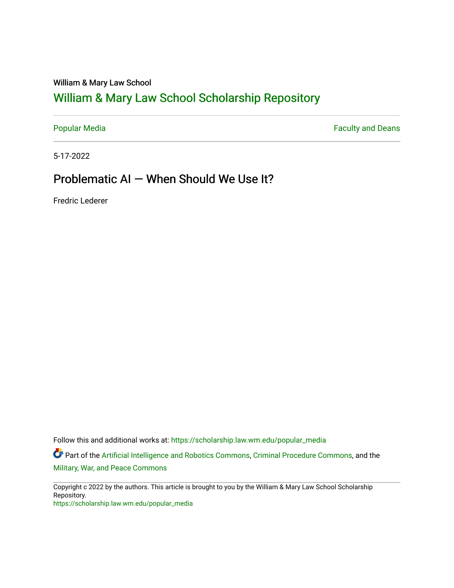#### William & Mary Law School

## [William & Mary Law School Scholarship Repository](https://scholarship.law.wm.edu/)

[Popular Media](https://scholarship.law.wm.edu/popular_media) **Faculty and Deans Faculty and Deans** 

5-17-2022

### Problematic AI — When Should We Use It?

Fredric Lederer

Follow this and additional works at: [https://scholarship.law.wm.edu/popular\\_media](https://scholarship.law.wm.edu/popular_media?utm_source=scholarship.law.wm.edu%2Fpopular_media%2F571&utm_medium=PDF&utm_campaign=PDFCoverPages)

Part of the [Artificial Intelligence and Robotics Commons](https://network.bepress.com/hgg/discipline/143?utm_source=scholarship.law.wm.edu%2Fpopular_media%2F571&utm_medium=PDF&utm_campaign=PDFCoverPages), [Criminal Procedure Commons](https://network.bepress.com/hgg/discipline/1073?utm_source=scholarship.law.wm.edu%2Fpopular_media%2F571&utm_medium=PDF&utm_campaign=PDFCoverPages), and the [Military, War, and Peace Commons](https://network.bepress.com/hgg/discipline/861?utm_source=scholarship.law.wm.edu%2Fpopular_media%2F571&utm_medium=PDF&utm_campaign=PDFCoverPages)

Copyright c 2022 by the authors. This article is brought to you by the William & Mary Law School Scholarship Repository. [https://scholarship.law.wm.edu/popular\\_media](https://scholarship.law.wm.edu/popular_media)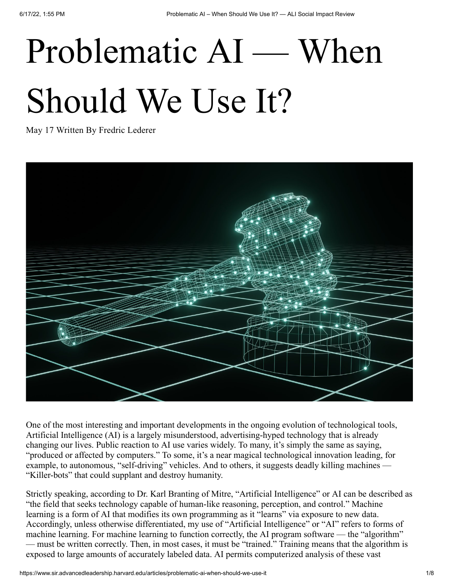# Problematic AI — When Should We Use It?

May 17 Written By Fredric [Lederer](https://www.sir.advancedleadership.harvard.edu/articles?author=6227c940bdd9494b2d79155b)



One of the most interesting and important developments in the ongoing evolution of technological tools, Artificial Intelligence (AI) is a largely misunderstood, advertising-hyped technology that is already changing our lives. Public reaction to AI use varies widely. To many, it's simply the same as saying, "produced or affected by computers." To some, it's a near magical technological innovation leading, for example, to autonomous, "self-driving" vehicles. And to others, it suggests deadly killing machines — "Killer-bots" that could supplant and destroy humanity.

Strictly speaking, according to Dr. Karl Branting of Mitre, "Artificial Intelligence" or AI can be described as "the field that seeks technology capable of human-like reasoning, perception, and control." Machine learning is a form of AI that modifies its own programming as it "learns" via exposure to new data. Accordingly, unless otherwise differentiated, my use of "Artificial Intelligence" or "AI" refers to forms of machine learning. For machine learning to function correctly, the AI program software — the "algorithm" — must be written correctly. Then, in most cases, it must be "trained." Training means that the algorithm is exposed to large amounts of accurately labeled data. AI permits computerized analysis of these vast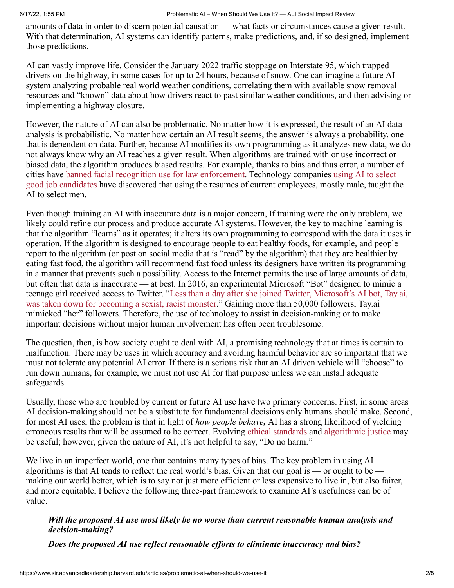amounts of data in order to discern potential causation — what facts or circumstances cause a given result. With that determination, AI systems can identify patterns, make predictions, and, if so designed, implement those predictions.

AI can vastly improve life. Consider the January 2022 traffic stoppage on Interstate 95, which trapped drivers on the highway, in some cases for up to 24 hours, because of snow. One can imagine a future AI system analyzing probable real world weather conditions, correlating them with available snow removal resources and "known" data about how drivers react to past similar weather conditions, and then advising or implementing a highway closure.

However, the nature of AI can also be problematic. No matter how it is expressed, the result of an AI data analysis is probabilistic. No matter how certain an AI result seems, the answer is always a probability, one that is dependent on data. Further, because AI modifies its own programming as it analyzes new data, we do not always know why an AI reaches a given result. When algorithms are trained with or use incorrect or biased data, the algorithm produces biased results. For example, thanks to bias and thus error, a number of [cities have banned facial recognition use for law enforcement. Technology companies using AI to select](https://www.reuters.com/article/us-amazon-com-jobs-automation-insight/amazon-scraps-secret-ai-recruiting-tool-that-showed-bias-against-women-idUSKCN1MK08G) good job candidates have discovered that using the resumes of current employees, mostly male, taught the AI to select men.

Even though training an AI with inaccurate data is a major concern, If training were the only problem, we likely could refine our process and produce accurate AI systems. However, the key to machine learning is that the algorithm "learns" as it operates; it alters its own programming to correspond with the data it uses in operation. If the algorithm is designed to encourage people to eat healthy foods, for example, and people report to the algorithm (or post on social media that is "read" by the algorithm) that they are healthier by eating fast food, the algorithm will recommend fast food unless its designers have written its programming in a manner that prevents such a possibility. Access to the Internet permits the use of large amounts of data, but often that data is inaccurate — at best. In 2016, an experimental Microsoft "Bot" designed to mimic a [teenage girl received access to Twitter. "Less than a day after she joined Twitter, Microsoft's AI bot, Tay.ai,](https://www.techrepublic.com/article/why-microsofts-tay-ai-bot-went-wrong) was taken down for becoming a sexist, racist monster." Gaining more than 50,000 followers, Tay.ai mimicked "her" followers. Therefore, the use of technology to assist in decision-making or to make important decisions without major human involvement has often been troublesome.

The question, then, is how society ought to deal with AI, a promising technology that at times is certain to malfunction. There may be uses in which accuracy and avoiding harmful behavior are so important that we must not tolerate any potential AI error. If there is a serious risk that an AI driven vehicle will "choose" to run down humans, for example, we must not use AI for that purpose unless we can install adequate safeguards.

Usually, those who are troubled by current or future AI use have two primary concerns. First, in some areas AI decision-making should not be a substitute for fundamental decisions only humans should make. Second, for most AI uses, the problem is that in light of *how people behave,* AI has a strong likelihood of yielding erroneous results that will be assumed to be correct. Evolving [ethical standards](https://futurium.ec.europa.eu/en/european-ai-alliance/pages/altai-assessment-list-trustworthy-artificial-intelligence) and [algorithmic justice](https://www.ajl.org/) may be useful; however, given the nature of AI, it's not helpful to say, "Do no harm."

We live in an imperfect world, one that contains many types of bias. The key problem in using AI algorithms is that AI tends to reflect the real world's bias. Given that our goal is — or ought to be making our world better, which is to say not just more efficient or less expensive to live in, but also fairer, and more equitable, I believe the following three-part framework to examine AI's usefulness can be of value.

*Will the proposed AI use most likely be no worse than current reasonable human analysis and decision-making?*

*Does the proposed AI use reflect reasonable efforts to eliminate inaccuracy and bias?*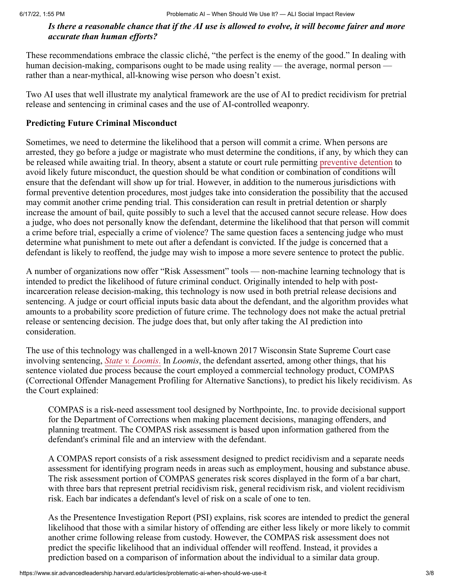#### *Is there a reasonable chance that if the AI use is allowed to evolve, it will become fairer and more accurate than human efforts?*

These recommendations embrace the classic cliché, "the perfect is the enemy of the good." In dealing with human decision-making, comparisons ought to be made using reality — the average, normal person rather than a near-mythical, all-knowing wise person who doesn't exist.

Two AI uses that well illustrate my analytical framework are the use of AI to predict recidivism for pretrial release and sentencing in criminal cases and the use of AI-controlled weaponry.

#### **Predicting Future Criminal Misconduct**

Sometimes, we need to determine the likelihood that a person will commit a crime. When persons are arrested, they go before a judge or magistrate who must determine the conditions, if any, by which they can be released while awaiting trial. In theory, absent a statute or court rule permitting [preventive detention](https://www.ncsc.org/__data/assets/pdf_file/0026/63665/Pretrial-Preventive-Detention-White-Paper-4.24.2020.pdf) to avoid likely future misconduct, the question should be what condition or combination of conditions will ensure that the defendant will show up for trial. However, in addition to the numerous jurisdictions with formal preventive detention procedures, most judges take into consideration the possibility that the accused may commit another crime pending trial. This consideration can result in pretrial detention or sharply increase the amount of bail, quite possibly to such a level that the accused cannot secure release. How does a judge, who does not personally know the defendant, determine the likelihood that that person will commit a crime before trial, especially a crime of violence? The same question faces a sentencing judge who must determine what punishment to mete out after a defendant is convicted. If the judge is concerned that a defendant is likely to reoffend, the judge may wish to impose a more severe sentence to protect the public.

A number of organizations now offer "Risk Assessment" tools — non-machine learning technology that is intended to predict the likelihood of future criminal conduct. Originally intended to help with postincarceration release decision-making, this technology is now used in both pretrial release decisions and sentencing. A judge or court official inputs basic data about the defendant, and the algorithm provides what amounts to a probability score prediction of future crime. The technology does not make the actual pretrial release or sentencing decision. The judge does that, but only after taking the AI prediction into consideration.

The use of this technology was challenged in a well-known 2017 Wisconsin State Supreme Court case involving sentencing, *[State v. Loomis](https://scholar.google.com/scholar_case?case=3222116451721963278&hl=en&as_sdt=6&as_vis=1&oi=scholarr)*. In *Loomis*, the defendant asserted, among other things, that his sentence violated due process because the court employed a commercial technology product, COMPAS (Correctional Offender Management Profiling for Alternative Sanctions), to predict his likely recidivism. As the Court explained:

COMPAS is a risk-need assessment tool designed by Northpointe, Inc. to provide decisional support for the Department of Corrections when making placement decisions, managing offenders, and planning treatment. The COMPAS risk assessment is based upon information gathered from the defendant's criminal file and an interview with the defendant.

A COMPAS report consists of a risk assessment designed to predict recidivism and a separate needs assessment for identifying program needs in areas such as employment, housing and substance abuse. The risk assessment portion of COMPAS generates risk scores displayed in the form of a bar chart, with three bars that represent pretrial recidivism risk, general recidivism risk, and violent recidivism risk. Each bar indicates a defendant's level of risk on a scale of one to ten.

As the Presentence Investigation Report (PSI) explains, risk scores are intended to predict the general likelihood that those with a similar history of offending are either less likely or more likely to commit another crime following release from custody. However, the COMPAS risk assessment does not predict the specific likelihood that an individual offender will reoffend. Instead, it provides a prediction based on a comparison of information about the individual to a similar data group.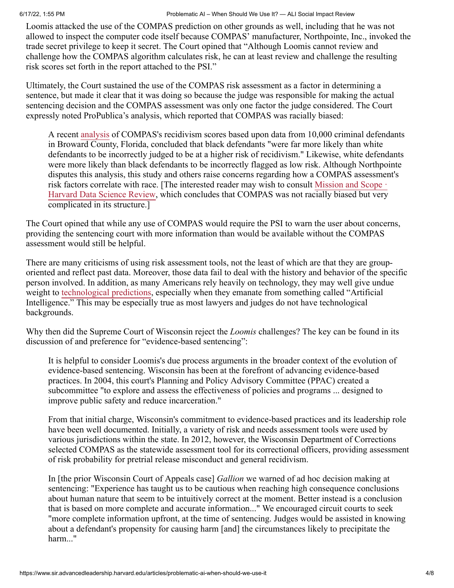Loomis attacked the use of the COMPAS prediction on other grounds as well, including that he was not allowed to inspect the computer code itself because COMPAS' manufacturer, Northpointe, Inc., invoked the trade secret privilege to keep it secret. The Court opined that "Although Loomis cannot review and challenge how the COMPAS algorithm calculates risk, he can at least review and challenge the resulting risk scores set forth in the report attached to the PSI."

Ultimately, the Court sustained the use of the COMPAS risk assessment as a factor in determining a sentence, but made it clear that it was doing so because the judge was responsible for making the actual sentencing decision and the COMPAS assessment was only one factor the judge considered. The Court expressly noted ProPublica's analysis, which reported that COMPAS was racially biased:

A recent [analysis](https://www.propublica.org/article/how-we-analyzed-the-compas-recidivism-algorithm) of COMPAS's recidivism scores based upon data from 10,000 criminal defendants in Broward County, Florida, concluded that black defendants "were far more likely than white defendants to be incorrectly judged to be at a higher risk of recidivism." Likewise, white defendants were more likely than black defendants to be incorrectly flagged as low risk. Although Northpointe disputes this analysis, this study and others raise concerns regarding how a COMPAS assessment's risk factors correlate with race. [The interested reader may wish to consult Mission and Scope  $\cdot$ Harvard Data Science Review, which concludes that COMPAS was not racially biased but very complicated in its structure.]

The Court opined that while any use of COMPAS would require the PSI to warn the user about concerns, providing the sentencing court with more information than would be available without the COMPAS assessment would still be helpful.

There are many criticisms of using risk assessment tools, not the least of which are that they are grouporiented and reflect past data. Moreover, those data fail to deal with the history and behavior of the specific person involved. In addition, as many Americans rely heavily on technology, they may well give undue weight to [technological predictions,](https://openscholarship.wustl.edu/cgi/viewcontent.cgi?article=1166&context=law_lawreview) especially when they emanate from something called "Artificial Intelligence." This may be especially true as most lawyers and judges do not have technological backgrounds.

Why then did the Supreme Court of Wisconsin reject the *Loomis* challenges? The key can be found in its discussion of and preference for "evidence-based sentencing":

It is helpful to consider Loomis's due process arguments in the broader context of the evolution of evidence-based sentencing. Wisconsin has been at the forefront of advancing evidence-based practices. In 2004, this court's Planning and Policy Advisory Committee (PPAC) created a subcommittee "to explore and assess the effectiveness of policies and programs ... designed to improve public safety and reduce incarceration."

From that initial charge, Wisconsin's commitment to evidence-based practices and its leadership role have been well documented. Initially, a variety of risk and needs assessment tools were used by various jurisdictions within the state. In 2012, however, the Wisconsin Department of Corrections selected COMPAS as the statewide assessment tool for its correctional officers, providing assessment of risk probability for pretrial release misconduct and general recidivism.

In [the prior Wisconsin Court of Appeals case] *Gallion* we warned of ad hoc decision making at sentencing: "Experience has taught us to be cautious when reaching high consequence conclusions about human nature that seem to be intuitively correct at the moment. Better instead is a conclusion that is based on more complete and accurate information..." We encouraged circuit courts to seek "more complete information upfront, at the time of sentencing. Judges would be assisted in knowing about a defendant's propensity for causing harm [and] the circumstances likely to precipitate the harm..."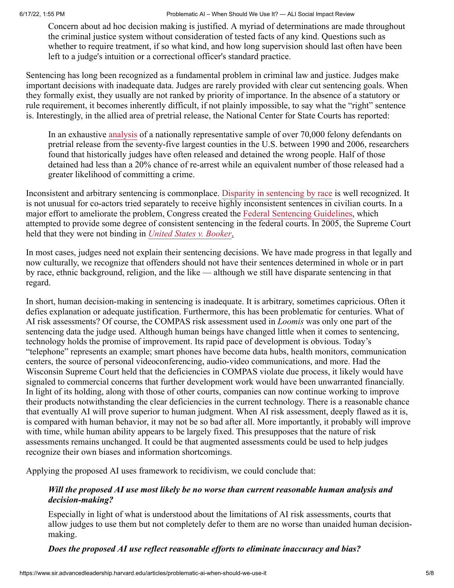6/17/22, 1:55 PM Problematic AI – When Should We Use It? — ALI Social Impact Review

Concern about ad hoc decision making is justified. A myriad of determinations are made throughout the criminal justice system without consideration of tested facts of any kind. Questions such as whether to require treatment, if so what kind, and how long supervision should last often have been left to a judge's intuition or a correctional officer's standard practice.

Sentencing has long been recognized as a fundamental problem in criminal law and justice. Judges make important decisions with inadequate data. Judges are rarely provided with clear cut sentencing goals. When they formally exist, they usually are not ranked by priority of importance. In the absence of a statutory or rule requirement, it becomes inherently difficult, if not plainly impossible, to say what the "right" sentence is. Interestingly, in the allied area of pretrial release, the National Center for State Courts has reported:

In an exhaustive [analysis](https://www.ncsc.org/__data/assets/pdf_file/0026/63665/Pretrial-Preventive-Detention-White-Paper-4.24.2020.pdf) of a nationally representative sample of over 70,000 felony defendants on pretrial release from the seventy-five largest counties in the U.S. between 1990 and 2006, researchers found that historically judges have often released and detained the wrong people. Half of those detained had less than a 20% chance of re-arrest while an equivalent number of those released had a greater likelihood of committing a crime.

Inconsistent and arbitrary sentencing is commonplace. [Disparity in sentencing by race](http://www.naacp.org/pages/criminal-justice-fact-sheet) is well recognized. It is not unusual for co-actors tried separately to receive highly inconsistent sentences in civilian courts. In a major effort to ameliorate the problem, Congress created the [Federal Sentencing Guidelines](https://www.ussc.gov/guidelines), which attempted to provide some degree of consistent sentencing in the federal courts. In 2005, the Supreme Court held that they were not binding in *[United States v. Booker](https://www.law.cornell.edu/supct/html/04-104.ZS.html)*.

In most cases, judges need not explain their sentencing decisions. We have made progress in that legally and now culturally, we recognize that offenders should not have their sentences determined in whole or in part by race, ethnic background, religion, and the like — although we still have disparate sentencing in that regard.

In short, human decision-making in sentencing is inadequate. It is arbitrary, sometimes capricious. Often it defies explanation or adequate justification. Furthermore, this has been problematic for centuries. What of AI risk assessments? Of course, the COMPAS risk assessment used in *Loomis* was only one part of the sentencing data the judge used. Although human beings have changed little when it comes to sentencing, technology holds the promise of improvement. Its rapid pace of development is obvious. Today's "telephone" represents an example; smart phones have become data hubs, health monitors, communication centers, the source of personal videoconferencing, audio-video communications, and more. Had the Wisconsin Supreme Court held that the deficiencies in COMPAS violate due process, it likely would have signaled to commercial concerns that further development work would have been unwarranted financially. In light of its holding, along with those of other courts, companies can now continue working to improve their products notwithstanding the clear deficiencies in the current technology. There is a reasonable chance that eventually AI will prove superior to human judgment. When AI risk assessment, deeply flawed as it is, is compared with human behavior, it may not be so bad after all. More importantly, it probably will improve with time, while human ability appears to be largely fixed. This presupposes that the nature of risk assessments remains unchanged. It could be that augmented assessments could be used to help judges recognize their own biases and information shortcomings.

Applying the proposed AI uses framework to recidivism, we could conclude that:

#### *Will the proposed AI use most likely be no worse than current reasonable human analysis and decision-making?*

Especially in light of what is understood about the limitations of AI risk assessments, courts that allow judges to use them but not completely defer to them are no worse than unaided human decisionmaking.

*Does the proposed AI use reflect reasonable efforts to eliminate inaccuracy and bias?*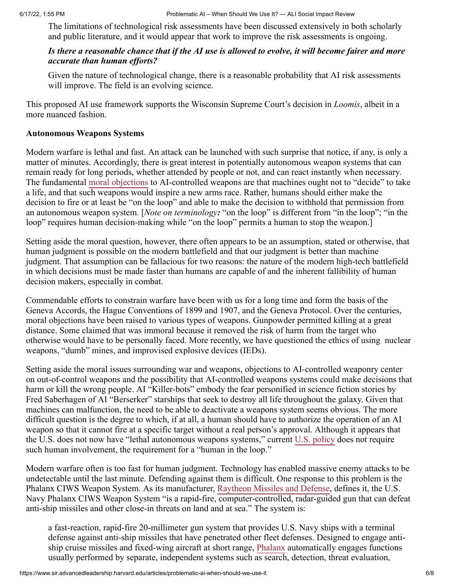The limitations of technological risk assessments have been discussed extensively in both scholarly and public literature, and it would appear that work to improve the risk assessments is ongoing.

#### *Is there a reasonable chance that if the AI use is allowed to evolve, it will become fairer and more accurate than human efforts?*

Given the nature of technological change, there is a reasonable probability that AI risk assessments will improve. The field is an evolving science.

This proposed AI use framework supports the Wisconsin Supreme Court's decision in *Loomis*, albeit in a more nuanced fashion.

#### **Autonomous Weapons Systems**

Modern warfare is lethal and fast. An attack can be launched with such surprise that notice, if any, is only a matter of minutes. Accordingly, there is great interest in potentially autonomous weapon systems that can remain ready for long periods, whether attended by people or not, and can react instantly when necessary. The fundamental [moral objections](https://futureoflife.org/2016/02/09/open-letter-autonomous-weapons-ai-robotics/) to AI-controlled weapons are that machines ought not to "decide" to take a life, and that such weapons would inspire a new arms race. Rather, humans should either make the decision to fire or at least be "on the loop" and able to make the decision to withhold that permission from an autonomous weapon system. [*Note on terminology:* "on the loop" is different from "in the loop"; "in the loop" requires human decision-making while "on the loop" permits a human to stop the weapon.]

Setting aside the moral question, however, there often appears to be an assumption, stated or otherwise, that human judgment is possible on the modern battlefield and that our judgment is better than machine judgment. That assumption can be fallacious for two reasons: the nature of the modern high-tech battlefield in which decisions must be made faster than humans are capable of and the inherent fallibility of human decision makers, especially in combat.

Commendable efforts to constrain warfare have been with us for a long time and form the basis of the Geneva Accords, the Hague Conventions of 1899 and 1907, and the Geneva Protocol. Over the centuries, moral objections have been raised to various types of weapons. Gunpowder permitted killing at a great distance. Some claimed that was immoral because it removed the risk of harm from the target who otherwise would have to be personally faced. More recently, we have questioned the ethics of using nuclear weapons, "dumb" mines, and improvised explosive devices (IEDs).

Setting aside the moral issues surrounding war and weapons, objections to AI-controlled weaponry center on out-of-control weapons and the possibility that AI-controlled weapons systems could make decisions that harm or kill the wrong people. AI "Killer-bots" embody the fear personified in science fiction stories by Fred Saberhagen of AI "Berserker" starships that seek to destroy all life throughout the galaxy. Given that machines can malfunction, the need to be able to deactivate a weapons system seems obvious. The more difficult question is the degree to which, if at all, a human should have to authorize the operation of an AI weapon so that it cannot fire at a specific target without a real person's approval. Although it appears that the U.S. does not now have "lethal autonomous weapons systems," current [U.S. policy](https://sgp.fas.org/crs/natsec/IF11150.pdf) does not require such human involvement, the requirement for a "human in the loop."

Modern warfare often is too fast for human judgment. Technology has enabled massive enemy attacks to be undetectable until the last minute. Defending against them is difficult. One response to this problem is the Phalanx CIWS Weapon System. As its manufacturer, [Raytheon Missiles and Defense](https://www.raytheonmissilesanddefense.com/what-we-do/naval-warfare/ship-self-defense-weapons/phalanx-close-in-weapon-system), defines it, the U.S. Navy Phalanx CIWS Weapon System "is a rapid-fire, computer-controlled, radar-guided gun that can defeat anti-ship missiles and other close-in threats on land and at sea." The system is:

a fast-reaction, rapid-fire 20-millimeter gun system that provides U.S. Navy ships with a terminal defense against anti-ship missiles that have penetrated other fleet defenses. Designed to engage anti-ship cruise missiles and fixed-wing aircraft at short range, [Phalanx](https://man.fas.org/dod-101/sys/ship/weaps/mk-15.htm) automatically engages functions usually performed by separate, independent systems such as search, detection, threat evaluation,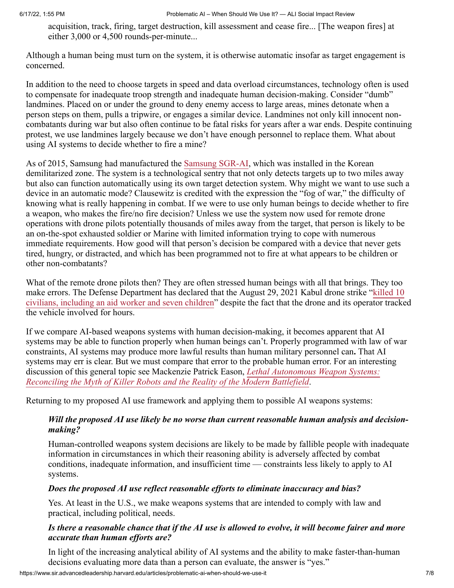acquisition, track, firing, target destruction, kill assessment and cease fire... [The weapon fires] at either 3,000 or 4,500 rounds-per-minute...

Although a human being must turn on the system, it is otherwise automatic insofar as target engagement is concerned.

In addition to the need to choose targets in speed and data overload circumstances, technology often is used to compensate for inadequate troop strength and inadequate human decision-making. Consider "dumb" landmines. Placed on or under the ground to deny enemy access to large areas, mines detonate when a person steps on them, pulls a tripwire, or engages a similar device. Landmines not only kill innocent noncombatants during war but also often continue to be fatal risks for years after a war ends. Despite continuing protest, we use landmines largely because we don't have enough personnel to replace them. What about using AI systems to decide whether to fire a mine?

As of 2015, Samsung had manufactured the [Samsung SGR-AI](https://www.pbs.org/newshour/world/5-weapons-that-dont-need-a-human-to-pull-the-trigger), which was installed in the Korean demilitarized zone. The system is a technological sentry that not only detects targets up to two miles away but also can function automatically using its own target detection system. Why might we want to use such a device in an automatic mode? Clausewitz is credited with the expression the "fog of war," the difficulty of knowing what is really happening in combat. If we were to use only human beings to decide whether to fire a weapon, who makes the fire/no fire decision? Unless we use the system now used for remote drone operations with drone pilots potentially thousands of miles away from the target, that person is likely to be an on-the-spot exhausted soldier or Marine with limited information trying to cope with numerous immediate requirements. How good will that person's decision be compared with a device that never gets tired, hungry, or distracted, and which has been programmed not to fire at what appears to be children or other non-combatants?

What of the remote drone pilots then? They are often stressed human beings with all that brings. They too make errors. The Defense Department has declared that the August 29, 2021 Kabul drone strike "killed 10 [civilians, including an aid worker and seven children" despite the fact that the drone and its operator tracke](file:///C:/Users/patricialewis/Downloads/killed%2010%20civilians,%20including%20an%20aid%20worker%20and%20seven%20children)d the vehicle involved for hours.

If we compare AI-based weapons systems with human decision-making, it becomes apparent that AI systems may be able to function properly when human beings can't. Properly programmed with law of war constraints, AI systems may produce more lawful results than human military personnel can**.** That AI systems may err is clear. But we must compare that error to the probable human error. For an interesting discussion of this general topic see Mackenzie Patrick Eason, *Lethal Autonomous Weapon Systems: [Reconciling the Myth of Killer Robots and the Reality of the Modern Battlefield](https://dukespace.lib.duke.edu/dspace/bitstream/handle/10161/23212/Eason_duke_0066N_16305.pdf?sequence=1&isAllowed=y)*.

Returning to my proposed AI use framework and applying them to possible AI weapons systems:

#### *Will the proposed AI use likely be no worse than current reasonable human analysis and decisionmaking?*

Human-controlled weapons system decisions are likely to be made by fallible people with inadequate information in circumstances in which their reasoning ability is adversely affected by combat conditions, inadequate information, and insufficient time — constraints less likely to apply to AI systems.

#### *Does the proposed AI use reflect reasonable efforts to eliminate inaccuracy and bias?*

Yes. At least in the U.S., we make weapons systems that are intended to comply with law and practical, including political, needs.

#### *Is there a reasonable chance that if the AI use is allowed to evolve, it will become fairer and more accurate than human efforts are?*

In light of the increasing analytical ability of AI systems and the ability to make faster-than-human decisions evaluating more data than a person can evaluate, the answer is "yes."